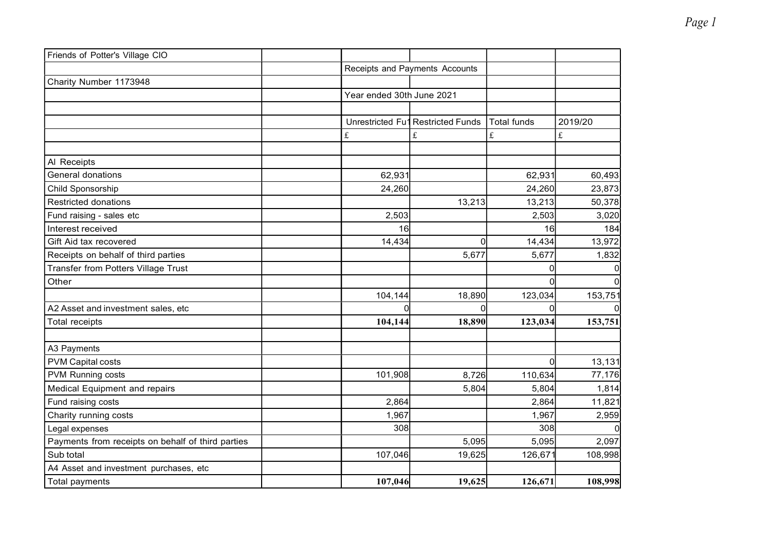| Friends of Potter's Village CIO                   |                           |                                |             |                                                                                                                                                                                                                                                                                                                                                                                                                                                                     |
|---------------------------------------------------|---------------------------|--------------------------------|-------------|---------------------------------------------------------------------------------------------------------------------------------------------------------------------------------------------------------------------------------------------------------------------------------------------------------------------------------------------------------------------------------------------------------------------------------------------------------------------|
|                                                   |                           | Receipts and Payments Accounts |             |                                                                                                                                                                                                                                                                                                                                                                                                                                                                     |
| Charity Number 1173948                            |                           |                                |             |                                                                                                                                                                                                                                                                                                                                                                                                                                                                     |
|                                                   | Year ended 30th June 2021 |                                |             |                                                                                                                                                                                                                                                                                                                                                                                                                                                                     |
|                                                   |                           |                                |             |                                                                                                                                                                                                                                                                                                                                                                                                                                                                     |
|                                                   | Unrestricted Fu1          | <b>Restricted Funds</b>        | Total funds | 2019/20                                                                                                                                                                                                                                                                                                                                                                                                                                                             |
|                                                   | $\mathbf{f}$              | $\mathbf{f}$                   | $\mathbf f$ | $\mathfrak{L}% _{F}=\mathfrak{L}_{F,\mathbb{R}}\times\mathfrak{L}_{F,\mathbb{R}}\times\mathfrak{L}_{F,\mathbb{R}}\times\mathfrak{L}_{F,\mathbb{R}}\times\mathfrak{L}_{F,\mathbb{R}}\times\mathfrak{L}_{F,\mathbb{R}}\times\mathfrak{L}_{F,\mathbb{R}}\times\mathfrak{L}_{F,\mathbb{R}}\times\mathfrak{L}_{F,\mathbb{R}}\times\mathfrak{L}_{F,\mathbb{R}}\times\mathfrak{L}_{F,\mathbb{R}}\times\mathfrak{L}_{F,\mathbb{R}}\times\mathfrak{L}_{F,\mathbb{R}}\times\$ |
|                                                   |                           |                                |             |                                                                                                                                                                                                                                                                                                                                                                                                                                                                     |
| Al Receipts                                       |                           |                                |             |                                                                                                                                                                                                                                                                                                                                                                                                                                                                     |
| General donations                                 | 62,931                    |                                | 62,931      | 60,493                                                                                                                                                                                                                                                                                                                                                                                                                                                              |
| Child Sponsorship                                 | 24,260                    |                                | 24,260      | 23,873                                                                                                                                                                                                                                                                                                                                                                                                                                                              |
| <b>Restricted donations</b>                       |                           | 13,213                         | 13,213      | 50,378                                                                                                                                                                                                                                                                                                                                                                                                                                                              |
| Fund raising - sales etc                          | 2,503                     |                                | 2,503       | 3,020                                                                                                                                                                                                                                                                                                                                                                                                                                                               |
| Interest received                                 | 16                        |                                | 16          | 184                                                                                                                                                                                                                                                                                                                                                                                                                                                                 |
| Gift Aid tax recovered                            | 14,434                    | <sub>0</sub>                   | 14,434      | 13,972                                                                                                                                                                                                                                                                                                                                                                                                                                                              |
| Receipts on behalf of third parties               |                           | 5,677                          | 5,677       | 1,832                                                                                                                                                                                                                                                                                                                                                                                                                                                               |
| Transfer from Potters Village Trust               |                           |                                | $\Omega$    |                                                                                                                                                                                                                                                                                                                                                                                                                                                                     |
| Other                                             |                           |                                |             |                                                                                                                                                                                                                                                                                                                                                                                                                                                                     |
|                                                   | 104,144                   | 18,890                         | 123,034     | 153,751                                                                                                                                                                                                                                                                                                                                                                                                                                                             |
| A2 Asset and investment sales, etc                |                           | $\Omega$                       |             |                                                                                                                                                                                                                                                                                                                                                                                                                                                                     |
| <b>Total receipts</b>                             | 104,144                   | 18,890                         | 123,034     | 153,751                                                                                                                                                                                                                                                                                                                                                                                                                                                             |
|                                                   |                           |                                |             |                                                                                                                                                                                                                                                                                                                                                                                                                                                                     |
| A3 Payments                                       |                           |                                |             |                                                                                                                                                                                                                                                                                                                                                                                                                                                                     |
| <b>PVM Capital costs</b>                          |                           |                                | $\Omega$    | 13,131                                                                                                                                                                                                                                                                                                                                                                                                                                                              |
| PVM Running costs                                 | 101,908                   | 8,726                          | 110,634     | 77,176                                                                                                                                                                                                                                                                                                                                                                                                                                                              |
| Medical Equipment and repairs                     |                           | 5,804                          | 5,804       | 1,814                                                                                                                                                                                                                                                                                                                                                                                                                                                               |
| Fund raising costs                                | 2,864                     |                                | 2,864       | 11,821                                                                                                                                                                                                                                                                                                                                                                                                                                                              |
| Charity running costs                             | 1,967                     |                                | 1,967       | 2,959                                                                                                                                                                                                                                                                                                                                                                                                                                                               |
| Legal expenses                                    | 308                       |                                | 308         |                                                                                                                                                                                                                                                                                                                                                                                                                                                                     |
| Payments from receipts on behalf of third parties |                           | 5,095                          | 5,095       | 2,097                                                                                                                                                                                                                                                                                                                                                                                                                                                               |
| Sub total                                         | 107,046                   | 19,625                         | 126,671     | 108,998                                                                                                                                                                                                                                                                                                                                                                                                                                                             |
| A4 Asset and investment purchases, etc            |                           |                                |             |                                                                                                                                                                                                                                                                                                                                                                                                                                                                     |
| Total payments                                    | 107,046                   | 19,625                         | 126,671     | 108,998                                                                                                                                                                                                                                                                                                                                                                                                                                                             |